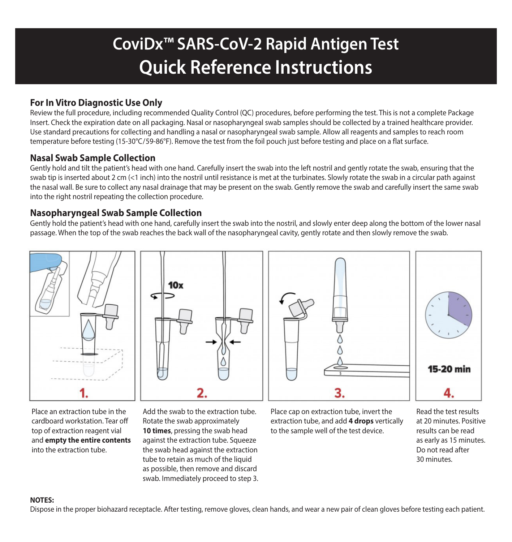# **CoviDx™ SARS-CoV-2 Rapid Antigen Test Quick Reference Instructions**

## **For In Vitro Diagnostic Use Only**

Review the full procedure, including recommended Quality Control (QC) procedures, before performing the test. This is not a complete Package Insert. Check the expiration date on all packaging. Nasal or nasopharyngeal swab samples should be collected by a trained healthcare provider. Use standard precautions for collecting and handling a nasal or nasopharyngeal swab sample. Allow all reagents and samples to reach room temperature before testing (15-30°C/59-86°F). Remove the test from the foil pouch just before testing and place on a flat surface.

### **Nasal Swab Sample Collection**

Gently hold and tilt the patient's head with one hand. Carefully insert the swab into the left nostril and gently rotate the swab, ensuring that the swab tip is inserted about 2 cm (<1 inch) into the nostril until resistance is met at the turbinates. Slowly rotate the swab in a circular path against the nasal wall. Be sure to collect any nasal drainage that may be present on the swab. Gently remove the swab and carefully insert the same swab into the right nostril repeating the collection procedure.

### **Nasopharyngeal Swab Sample Collection**

Gently hold the patient's head with one hand, carefully insert the swab into the nostril, and slowly enter deep along the bottom of the lower nasal passage. When the top of the swab reaches the back wall of the nasopharyngeal cavity, gently rotate and then slowly remove the swab.



Place an extraction tube in the cardboard workstation. Tear off top of extraction reagent vial and **empty the entire contents** into the extraction tube.

Add the swab to the extraction tube. Rotate the swab approximately **10 times**, pressing the swab head against the extraction tube. Squeeze the swab head against the extraction tube to retain as much of the liquid as possible, then remove and discard swab. Immediately proceed to step 3.

Place cap on extraction tube, invert the extraction tube, and add **4 drops** vertically to the sample well of the test device.

Read the test results at 20 minutes. Positive results can be read as early as 15 minutes. Do not read after 30 minutes.

### **NOTES:**

Dispose in the proper biohazard receptacle. After testing, remove gloves, clean hands, and wear a new pair of clean gloves before testing each patient.